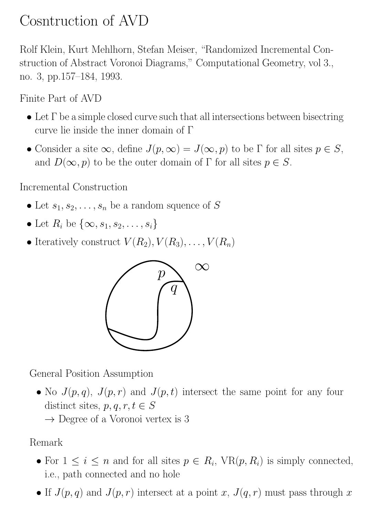# Cosntruction of AVD

Rolf Klein, Kurt Mehlhorn, Stefan Meiser, "Randomized Incremental Construction of Abstract Voronoi Diagrams," Computational Geometry, vol 3., no. 3, pp.157–184, 1993.

Finite Part of AVD

- Let  $\Gamma$  be a simple closed curve such that all intersections between bisectring curve lie inside the inner domain of Γ
- Consider a site  $\infty$ , define  $J(p, \infty) = J(\infty, p)$  to be  $\Gamma$  for all sites  $p \in S$ , and  $D(\infty, p)$  to be the outer domain of  $\Gamma$  for all sites  $p \in S$ .

Incremental Construction

- Let  $s_1, s_2, \ldots, s_n$  be a random squence of S
- Let  $R_i$  be  $\{\infty, s_1, s_2, \ldots, s_i\}$
- Iteratively construct  $V(R_2), V(R_3), \ldots, V(R_n)$



General Position Assumption

• No  $J(p,q)$ ,  $J(p,r)$  and  $J(p,t)$  intersect the same point for any four distinct sites,  $p, q, r, t \in S$ 

 $\rightarrow$  Degree of a Voronoi vertex is 3

Remark

- For  $1 \leq i \leq n$  and for all sites  $p \in R_i$ ,  $VR(p, R_i)$  is simply connected, i.e., path connected and no hole
- If  $J(p,q)$  and  $J(p,r)$  intersect at a point x,  $J(q,r)$  must pass through x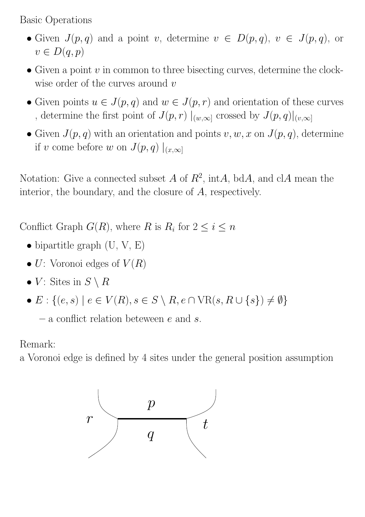Basic Operations

- Given  $J(p,q)$  and a point v, determine  $v \in D(p,q)$ ,  $v \in J(p,q)$ , or  $v \in D(q,p)$
- Given a point  $v$  in common to three bisecting curves, determine the clockwise order of the curves around  $v$
- Given points  $u \in J(p,q)$  and  $w \in J(p,r)$  and orientation of these curves , determine the first point of  $J(p,r)\mid_{(w,\infty]}$  crossed by  $J(p,q)\mid_{(v,\infty]}$
- Given  $J(p, q)$  with an orientation and points  $v, w, x$  on  $J(p, q)$ , determine if v come before w on  $J(p,q) \mid_{(x,\infty]}$

Notation: Give a connected subset A of  $R^2$ , intA, bdA, and clA mean the interior, the boundary, and the closure of A, respectively.

Conflict Graph  $G(R)$ , where R is  $R_i$  for  $2 \leq i \leq n$ 

- bipartitle graph  $(U, V, E)$
- $U:$  Voronoi edges of  $V(R)$
- V: Sites in  $S \setminus R$
- $E: \{(e, s) \mid e \in V(R), s \in S \setminus R, e \cap \text{VR}(s, R \cup \{s\}) \neq \emptyset\}$

– a conflict relation between  $e$  and  $s$ .

Remark:

a Voronoi edge is defined by 4 sites under the general position assumption

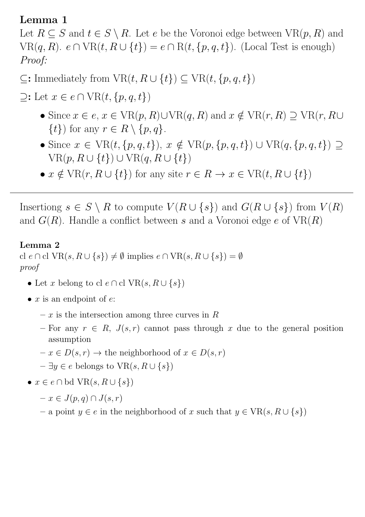#### Lemma 1

Let  $R \subseteq S$  and  $t \in S \setminus R$ . Let e be the Voronoi edge between  $VR(p, R)$  and  $VR(q, R)$ .  $e \cap VR(t, R \cup \{t\}) = e \cap R(t, \{p, q, t\})$ . (Local Test is enough) Proof:

# $\subseteq$ : Immediately from  $VR(t, R \cup \{t\}) \subseteq VR(t, \{p, q, t\})$

 $\supseteq$ : Let  $x \in e \cap \text{VR}(t, \{p, q, t\})$ 

- Since  $x \in e$ ,  $x \in \text{VR}(p, R) \cup \text{VR}(q, R)$  and  $x \notin \text{VR}(r, R) \supseteq \text{VR}(r, R \cup$  $\{t\}$  for any  $r \in R \setminus \{p,q\}.$
- Since  $x \in \text{VR}(t, \{p, q, t\}), x \notin \text{VR}(p, \{p, q, t\}) \cup \text{VR}(q, \{p, q, t\}) \supseteq$  $VR(p, R \cup \{t\}) \cup VR(q, R \cup \{t\})$
- $x \notin \text{VR}(r, R \cup \{t\})$  for any site  $r \in R \to x \in \text{VR}(t, R \cup \{t\})$

Insertiong  $s \in S \setminus R$  to compute  $V(R \cup \{s\})$  and  $G(R \cup \{s\})$  from  $V(R)$ and  $G(R)$ . Handle a conflict between s and a Voronoi edge e of  $VR(R)$ 

#### Lemma 2

cl  $e \cap$  cl  $VR(s, R \cup \{s\}) \neq \emptyset$  implies  $e \cap VR(s, R \cup \{s\}) = \emptyset$ proof

- Let x belong to cl  $e \cap$  cl  $VR(s, R \cup \{s\})$
- $x$  is an endpoint of  $e$ :
	- $x$  is the intersection among three curves in R
	- For any  $r \in R$ ,  $J(s,r)$  cannot pass through x due to the general position assumption
	- $-x \in D(s, r) \to$  the neighborhood of  $x \in D(s, r)$
	- $\exists y \in e$  belongs to  $VR(s, R \cup \{s\})$
- $x \in e \cap \text{bd } \text{VR}(s, R \cup \{s\})$ 
	- $-x \in J(p,q) \cap J(s,r)$
	- a point  $y \in e$  in the neighborhood of x such that  $y \in \text{VR}(s, R \cup \{s\})$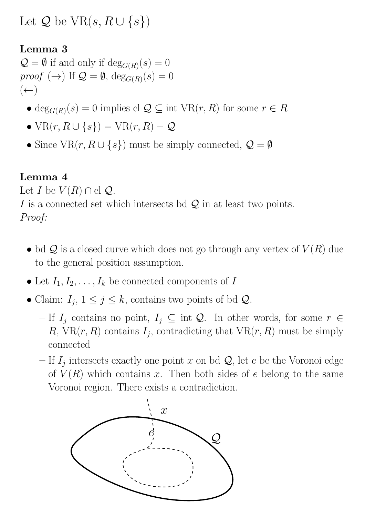Let  $\mathcal Q$  be  $\text{VR}(s, R \cup \{s\})$ 

### Lemma 3

 $\mathcal{Q} = \emptyset$  if and only if  $\deg_{G(R)}(s) = 0$ *proof*  $(\rightarrow)$  If  $\mathcal{Q} = \emptyset$ ,  $\deg_{G(R)}(s) = 0$  $(\leftarrow)$ 

- deg<sub> $G(R)(s) = 0$ </sub> implies cl  $\mathcal{Q} \subseteq \text{int } \nabla R(r, R)$  for some  $r \in R$
- $VR(r, R \cup \{s\}) = VR(r, R) Q$
- Since  $VR(r, R \cup \{s\})$  must be simply connected,  $\mathcal{Q} = \emptyset$

#### Lemma 4

Let I be  $V(R) \cap$  cl  $\mathcal{Q}$ .

I is a connected set which intersects bd  $\mathcal Q$  in at least two points.

# Proof:

- bd  $\mathcal Q$  is a closed curve which does not go through any vertex of  $V(R)$  due to the general position assumption.
- Let  $I_1, I_2, \ldots, I_k$  be connected components of I
- Claim:  $I_j$ ,  $1 \leq j \leq k$ , contains two points of bd  $\mathcal{Q}$ .
	- If  $I_j$  contains no point,  $I_j \subseteq \text{int } Q$ . In other words, for some  $r \in$ R, VR $(r, R)$  contains  $I_j$ , contradicting that VR $(r, R)$  must be simply connected
	- If  $I_j$  intersects exactly one point x on bd  $\mathcal{Q}$ , let e be the Voronoi edge of  $V(R)$  which contains x. Then both sides of e belong to the same Voronoi region. There exists a contradiction.

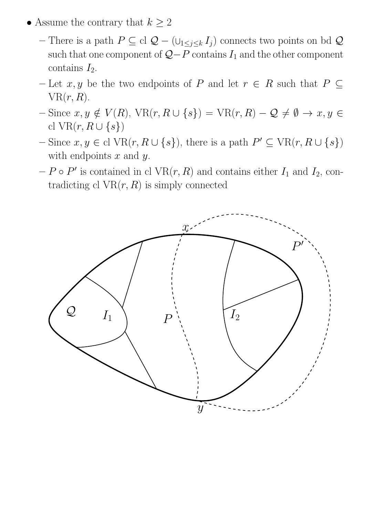- Assume the contrary that  $k \geq 2$ 
	- There is a path  $P \subseteq \text{cl } Q (\cup_{1 \leq j \leq k} I_j)$  connects two points on bd  $Q$ such that one component of  $Q-P$  contains  $I_1$  and the other component contains  $I_2$ .
	- Let x, y be the two endpoints of P and let  $r \in R$  such that  $P \subseteq$  $VR(r, R)$ .
	- Since  $x, y \notin V(R)$ , VR(r,  $R \cup \{s\}$ ) = VR(r,  $R) Q \neq \emptyset \rightarrow x, y \in$ cl VR $(r, R \cup \{s\})$
	- $-\text{ Since } x, y \in \text{cl } \text{VR}(r, R \cup \{s\}), \text{ there is a path } P' \subseteq \text{VR}(r, R \cup \{s\})$ with endpoints  $x$  and  $y$ .
	- $-P \circ P'$  is contained in cl  $VR(r, R)$  and contains either  $I_1$  and  $I_2$ , contradicting cl  $VR(r, R)$  is simply connected

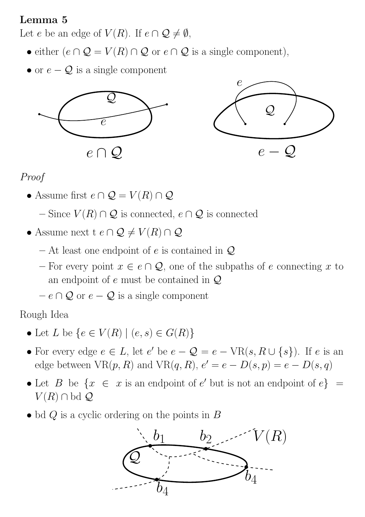# Lemma 5

Let e be an edge of  $V(R)$ . If  $e \cap \mathcal{Q} \neq \emptyset$ ,

- either  $(e \cap Q = V(R) \cap Q$  or  $e \cap Q$  is a single component),
- or  $e Q$  is a single component





# Proof

- Assume first  $e \cap \mathcal{Q} = V(R) \cap \mathcal{Q}$ 
	- Since  $V(R) \cap \mathcal{Q}$  is connected,  $e \cap \mathcal{Q}$  is connected
- Assume next t  $e \cap \mathcal{Q} \neq V(R) \cap \mathcal{Q}$ 
	- At least one endpoint of e is contained in  $\mathcal{Q}$
	- For every point  $x \in e \cap \mathcal{Q}$ , one of the subpaths of e connecting x to an endpoint of e must be contained in Q
	- $-e \cap Q$  or  $e Q$  is a single component

Rough Idea

- Let L be  $\{e \in V(R) \mid (e, s) \in G(R)\}\$
- For every edge  $e \in L$ , let  $e'$  be  $e \mathcal{Q} = e \text{VR}(s, R \cup \{s\})$ . If  $e$  is an edge between  $VR(p, R)$  and  $VR(q, R)$ ,  $e' = e - D(s, p) = e - D(s, q)$
- Let B be  $\{x \in x \text{ is an endpoint of } e' \text{ but is not an endpoint of } e\}$  $V(R) \cap$  bd  $\mathcal{Q}$
- bd  $Q$  is a cyclic ordering on the points in  $B$

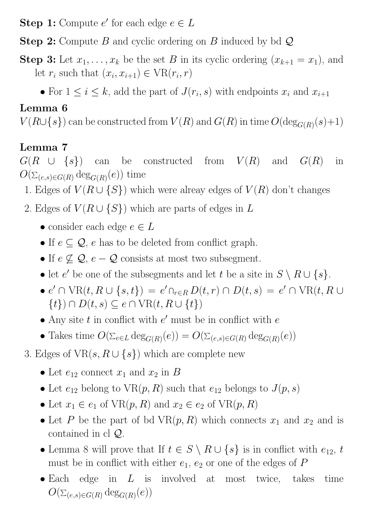**Step 1:** Compute  $e'$  for each edge  $e \in L$ 

**Step 2:** Compute B and cyclic ordering on B induced by bd  $\mathcal{Q}$ 

- **Step 3:** Let  $x_1, \ldots, x_k$  be the set B in its cyclic ordering  $(x_{k+1} = x_1)$ , and let  $r_i$  such that  $(x_i, x_{i+1}) \in \text{VR}(r_i, r)$ 
	- For  $1 \leq i \leq k$ , add the part of  $J(r_i, s)$  with endpoints  $x_i$  and  $x_{i+1}$

# Lemma 6

 $V(R\cup\{s\})$  can be constructed from  $V(R)$  and  $G(R)$  in time  $O(\deg_{G(R)}(s)+1)$ 

# Lemma 7

 $G(R \cup \{s\})$  can be constructed from  $V(R)$  and  $G(R)$  in  $O(\Sigma_{(e,s)\in G(R)}\deg_{G(R)}(e))$  time

- 1. Edges of  $V(R \cup \{S\})$  which were alreay edges of  $V(R)$  don't changes
- 2. Edges of  $V(R \cup \{S\})$  which are parts of edges in L
	- consider each edge  $e \in L$
	- If  $e \subseteq Q$ , e has to be deleted from conflict graph.
	- If  $e \nsubseteq Q$ ,  $e Q$  consists at most two subsegment.
	- let e' be one of the subsegments and let t be a site in  $S \setminus R \cup \{s\}.$
	- $e' \cap \text{VR}(t, R \cup \{s, t\}) = e' \cap_{r \in R} D(t, r) \cap D(t, s) = e' \cap \text{VR}(t, R \cup$  $\{t\}) \cap D(t, s) \subseteq e \cap \text{VR}(t, R \cup \{t\})$
	- Any site  $t$  in conflict with  $e'$  must be in conflict with  $e$
	- Takes time  $O(\sum_{e \in L} \deg_{G(R)}(e)) = O(\sum_{(e,s) \in G(R)} \deg_{G(R)}(e))$
- 3. Edges of  $VR(s, R \cup \{s\})$  which are complete new
	- Let  $e_{12}$  connect  $x_1$  and  $x_2$  in B
	- Let  $e_{12}$  belong to  $VR(p, R)$  such that  $e_{12}$  belongs to  $J(p, s)$
	- Let  $x_1 \in e_1$  of  $VR(p, R)$  and  $x_2 \in e_2$  of  $VR(p, R)$
	- Let P be the part of bd  $VR(p, R)$  which connects  $x_1$  and  $x_2$  and is contained in cl Q.
	- Lemma 8 will prove that If  $t \in S \setminus R \cup \{s\}$  is in conflict with  $e_{12}$ , t must be in conflict with either  $e_1, e_2$  or one of the edges of  $P$
	- Each edge in  $L$  is involved at most twice, takes time  $O(\Sigma_{(e,s)\in G(R)} \deg_{G(R)}(e))$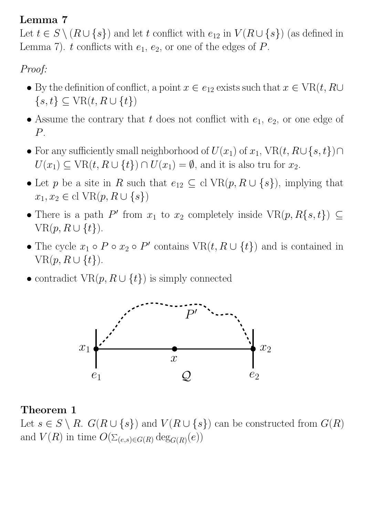# Lemma 7

Let  $t \in S \setminus (R \cup \{s\})$  and let t conflict with  $e_{12}$  in  $V(R \cup \{s\})$  (as defined in Lemma 7). t conflicts with  $e_1, e_2$ , or one of the edges of P.

# Proof:

- By the definition of conflict, a point  $x \in e_{12}$  exists such that  $x \in \text{VR}(t, R\cup \text{P})$  $\{s, t\} \subseteq \text{VR}(t, R \cup \{t\})$
- Assume the contrary that t does not conflict with  $e_1, e_2$ , or one edge of P.
- For any sufficiently small neighborhood of  $U(x_1)$  of  $x_1$ ,  $VR(t, R\cup\{s,t\})\cap$  $U(x_1) \subseteq \text{VR}(t, R \cup \{t\}) \cap U(x_1) = \emptyset$ , and it is also tru for  $x_2$ .
- Let p be a site in R such that  $e_{12} \subseteq \text{cl VR}(p, R \cup \{s\})$ , implying that  $x_1, x_2 \in \text{cl VR}(p, R \cup \{s\})$
- There is a path P' from  $x_1$  to  $x_2$  completely inside  $VR(p, R\{s, t\}) \subseteq$  $VR(p, R \cup \{t\}).$
- The cycle  $x_1 \circ P \circ x_2 \circ P'$  contains  $\text{VR}(t, R \cup \{t\})$  and is contained in  $VR(p, R \cup \{t\}).$
- contradict  $VR(p, R \cup \{t\})$  is simply connected



#### Theorem 1

Let  $s \in S \setminus R$ .  $G(R \cup \{s\})$  and  $V(R \cup \{s\})$  can be constructed from  $G(R)$ and  $V(R)$  in time  $O(\Sigma_{(e,s)\in G(R)} \deg_{G(R)}(e))$